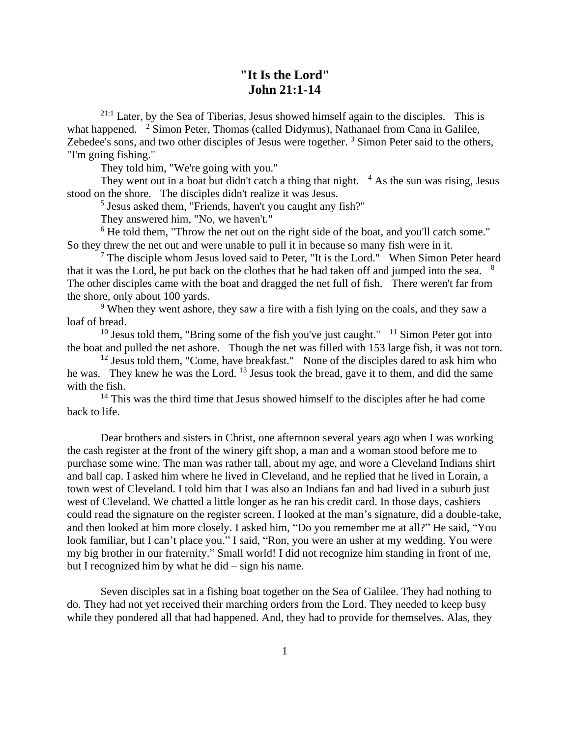## **"It Is the Lord" John 21:1-14**

21:1 Later, by the Sea of Tiberias, Jesus showed himself again to the disciples. This is what happened. <sup>2</sup> Simon Peter, Thomas (called Didymus), Nathanael from Cana in Galilee, Zebedee's sons, and two other disciples of Jesus were together.<sup>3</sup> Simon Peter said to the others, "I'm going fishing."

They told him, "We're going with you."

They went out in a boat but didn't catch a thing that night.  $4$  As the sun was rising, Jesus stood on the shore. The disciples didn't realize it was Jesus.

<sup>5</sup> Jesus asked them, "Friends, haven't you caught any fish?"

They answered him, "No, we haven't."

 $6$  He told them, "Throw the net out on the right side of the boat, and you'll catch some." So they threw the net out and were unable to pull it in because so many fish were in it.

 $<sup>7</sup>$  The disciple whom Jesus loved said to Peter, "It is the Lord." When Simon Peter heard</sup> that it was the Lord, he put back on the clothes that he had taken off and jumped into the sea. <sup>8</sup> The other disciples came with the boat and dragged the net full of fish. There weren't far from the shore, only about 100 yards.

<sup>9</sup> When they went ashore, they saw a fire with a fish lying on the coals, and they saw a loaf of bread.

 $10$  Jesus told them, "Bring some of the fish you've just caught."  $11$  Simon Peter got into the boat and pulled the net ashore. Though the net was filled with 153 large fish, it was not torn.

 $12$  Jesus told them, "Come, have breakfast." None of the disciples dared to ask him who he was. They knew he was the Lord. <sup>13</sup> Jesus took the bread, gave it to them, and did the same with the fish.

<sup>14</sup> This was the third time that Jesus showed himself to the disciples after he had come back to life.

Dear brothers and sisters in Christ, one afternoon several years ago when I was working the cash register at the front of the winery gift shop, a man and a woman stood before me to purchase some wine. The man was rather tall, about my age, and wore a Cleveland Indians shirt and ball cap. I asked him where he lived in Cleveland, and he replied that he lived in Lorain, a town west of Cleveland. I told him that I was also an Indians fan and had lived in a suburb just west of Cleveland. We chatted a little longer as he ran his credit card. In those days, cashiers could read the signature on the register screen. I looked at the man's signature, did a double-take, and then looked at him more closely. I asked him, "Do you remember me at all?" He said, "You look familiar, but I can't place you." I said, "Ron, you were an usher at my wedding. You were my big brother in our fraternity." Small world! I did not recognize him standing in front of me, but I recognized him by what he did – sign his name.

Seven disciples sat in a fishing boat together on the Sea of Galilee. They had nothing to do. They had not yet received their marching orders from the Lord. They needed to keep busy while they pondered all that had happened. And, they had to provide for themselves. Alas, they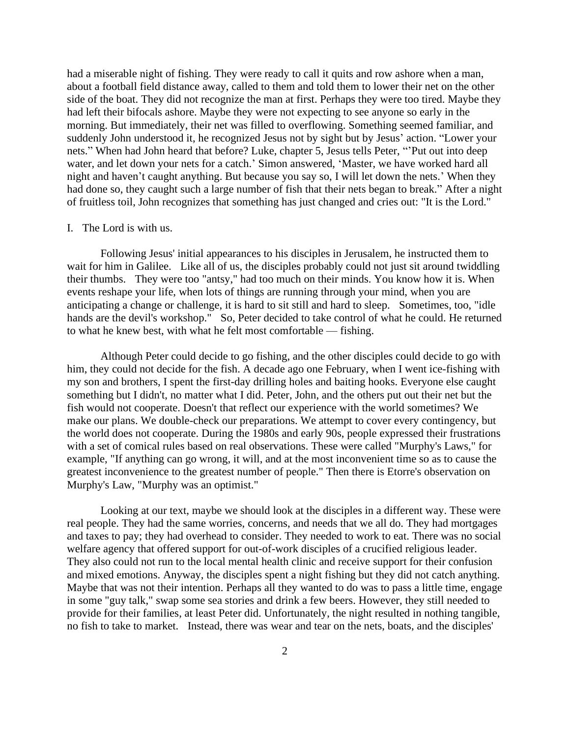had a miserable night of fishing. They were ready to call it quits and row ashore when a man, about a football field distance away, called to them and told them to lower their net on the other side of the boat. They did not recognize the man at first. Perhaps they were too tired. Maybe they had left their bifocals ashore. Maybe they were not expecting to see anyone so early in the morning. But immediately, their net was filled to overflowing. Something seemed familiar, and suddenly John understood it, he recognized Jesus not by sight but by Jesus' action. "Lower your nets." When had John heard that before? Luke, chapter 5, Jesus tells Peter, "'Put out into deep water, and let down your nets for a catch.' Simon answered, 'Master, we have worked hard all night and haven't caught anything. But because you say so, I will let down the nets.' When they had done so, they caught such a large number of fish that their nets began to break." After a night of fruitless toil, John recognizes that something has just changed and cries out: "It is the Lord."

## I. The Lord is with us.

Following Jesus' initial appearances to his disciples in Jerusalem, he instructed them to wait for him in Galilee. Like all of us, the disciples probably could not just sit around twiddling their thumbs. They were too "antsy," had too much on their minds. You know how it is. When events reshape your life, when lots of things are running through your mind, when you are anticipating a change or challenge, it is hard to sit still and hard to sleep. Sometimes, too, "idle hands are the devil's workshop." So, Peter decided to take control of what he could. He returned to what he knew best, with what he felt most comfortable — fishing.

Although Peter could decide to go fishing, and the other disciples could decide to go with him, they could not decide for the fish. A decade ago one February, when I went ice-fishing with my son and brothers, I spent the first-day drilling holes and baiting hooks. Everyone else caught something but I didn't, no matter what I did. Peter, John, and the others put out their net but the fish would not cooperate. Doesn't that reflect our experience with the world sometimes? We make our plans. We double-check our preparations. We attempt to cover every contingency, but the world does not cooperate. During the 1980s and early 90s, people expressed their frustrations with a set of comical rules based on real observations. These were called "Murphy's Laws," for example, "If anything can go wrong, it will, and at the most inconvenient time so as to cause the greatest inconvenience to the greatest number of people." Then there is Etorre's observation on Murphy's Law, "Murphy was an optimist."

Looking at our text, maybe we should look at the disciples in a different way. These were real people. They had the same worries, concerns, and needs that we all do. They had mortgages and taxes to pay; they had overhead to consider. They needed to work to eat. There was no social welfare agency that offered support for out-of-work disciples of a crucified religious leader. They also could not run to the local mental health clinic and receive support for their confusion and mixed emotions. Anyway, the disciples spent a night fishing but they did not catch anything. Maybe that was not their intention. Perhaps all they wanted to do was to pass a little time, engage in some "guy talk," swap some sea stories and drink a few beers. However, they still needed to provide for their families, at least Peter did. Unfortunately, the night resulted in nothing tangible, no fish to take to market. Instead, there was wear and tear on the nets, boats, and the disciples'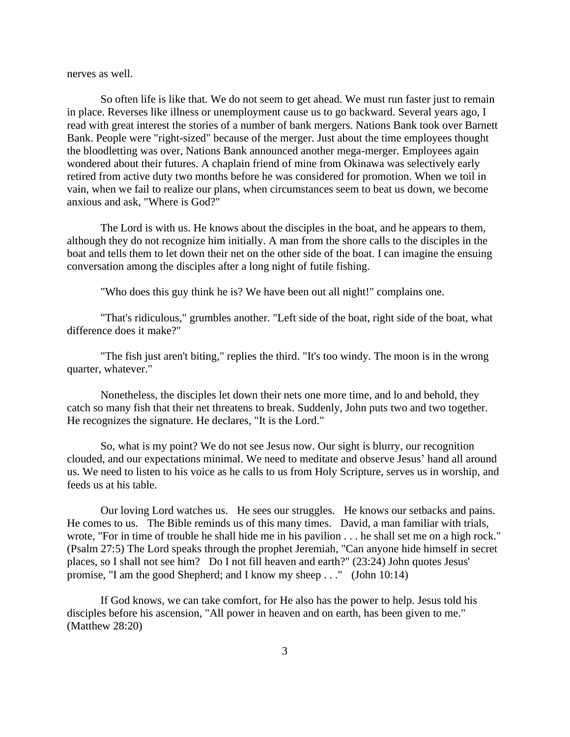nerves as well.

So often life is like that. We do not seem to get ahead. We must run faster just to remain in place. Reverses like illness or unemployment cause us to go backward. Several years ago, I read with great interest the stories of a number of bank mergers. Nations Bank took over Barnett Bank. People were "right-sized" because of the merger. Just about the time employees thought the bloodletting was over, Nations Bank announced another mega-merger. Employees again wondered about their futures. A chaplain friend of mine from Okinawa was selectively early retired from active duty two months before he was considered for promotion. When we toil in vain, when we fail to realize our plans, when circumstances seem to beat us down, we become anxious and ask, "Where is God?"

The Lord is with us. He knows about the disciples in the boat, and he appears to them, although they do not recognize him initially. A man from the shore calls to the disciples in the boat and tells them to let down their net on the other side of the boat. I can imagine the ensuing conversation among the disciples after a long night of futile fishing.

"Who does this guy think he is? We have been out all night!" complains one.

"That's ridiculous," grumbles another. "Left side of the boat, right side of the boat, what difference does it make?"

"The fish just aren't biting," replies the third. "It's too windy. The moon is in the wrong quarter, whatever."

Nonetheless, the disciples let down their nets one more time, and lo and behold, they catch so many fish that their net threatens to break. Suddenly, John puts two and two together. He recognizes the signature. He declares, "It is the Lord."

So, what is my point? We do not see Jesus now. Our sight is blurry, our recognition clouded, and our expectations minimal. We need to meditate and observe Jesus' hand all around us. We need to listen to his voice as he calls to us from Holy Scripture, serves us in worship, and feeds us at his table.

Our loving Lord watches us. He sees our struggles. He knows our setbacks and pains. He comes to us. The Bible reminds us of this many times. David, a man familiar with trials, wrote, "For in time of trouble he shall hide me in his pavilion . . . he shall set me on a high rock." (Psalm 27:5) The Lord speaks through the prophet Jeremiah, "Can anyone hide himself in secret places, so I shall not see him? Do I not fill heaven and earth?" (23:24) John quotes Jesus' promise, "I am the good Shepherd; and I know my sheep . . ." (John 10:14)

If God knows, we can take comfort, for He also has the power to help. Jesus told his disciples before his ascension, "All power in heaven and on earth, has been given to me." (Matthew 28:20)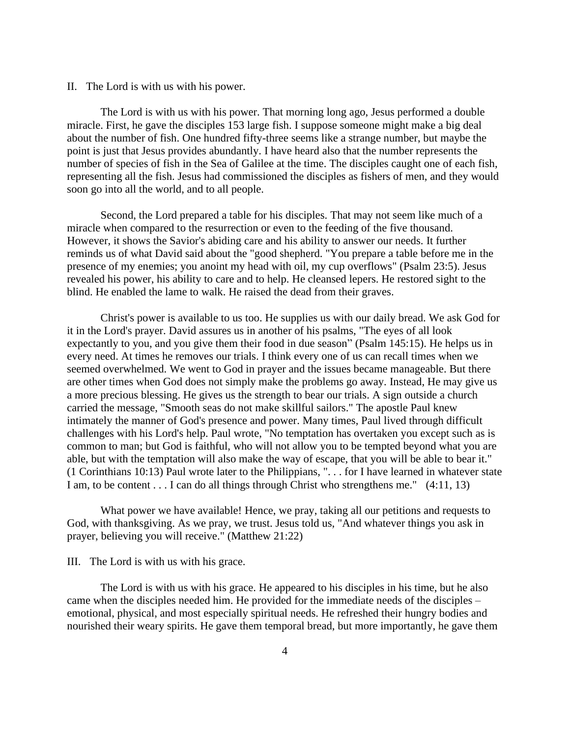II. The Lord is with us with his power.

The Lord is with us with his power. That morning long ago, Jesus performed a double miracle. First, he gave the disciples 153 large fish. I suppose someone might make a big deal about the number of fish. One hundred fifty-three seems like a strange number, but maybe the point is just that Jesus provides abundantly. I have heard also that the number represents the number of species of fish in the Sea of Galilee at the time. The disciples caught one of each fish, representing all the fish. Jesus had commissioned the disciples as fishers of men, and they would soon go into all the world, and to all people.

Second, the Lord prepared a table for his disciples. That may not seem like much of a miracle when compared to the resurrection or even to the feeding of the five thousand. However, it shows the Savior's abiding care and his ability to answer our needs. It further reminds us of what David said about the "good shepherd. "You prepare a table before me in the presence of my enemies; you anoint my head with oil, my cup overflows" (Psalm 23:5). Jesus revealed his power, his ability to care and to help. He cleansed lepers. He restored sight to the blind. He enabled the lame to walk. He raised the dead from their graves.

Christ's power is available to us too. He supplies us with our daily bread. We ask God for it in the Lord's prayer. David assures us in another of his psalms, "The eyes of all look expectantly to you, and you give them their food in due season" (Psalm 145:15). He helps us in every need. At times he removes our trials. I think every one of us can recall times when we seemed overwhelmed. We went to God in prayer and the issues became manageable. But there are other times when God does not simply make the problems go away. Instead, He may give us a more precious blessing. He gives us the strength to bear our trials. A sign outside a church carried the message, "Smooth seas do not make skillful sailors." The apostle Paul knew intimately the manner of God's presence and power. Many times, Paul lived through difficult challenges with his Lord's help. Paul wrote, "No temptation has overtaken you except such as is common to man; but God is faithful, who will not allow you to be tempted beyond what you are able, but with the temptation will also make the way of escape, that you will be able to bear it." (1 Corinthians 10:13) Paul wrote later to the Philippians, ". . . for I have learned in whatever state I am, to be content . . . I can do all things through Christ who strengthens me." (4:11, 13)

What power we have available! Hence, we pray, taking all our petitions and requests to God, with thanksgiving. As we pray, we trust. Jesus told us, "And whatever things you ask in prayer, believing you will receive." (Matthew 21:22)

III. The Lord is with us with his grace.

The Lord is with us with his grace. He appeared to his disciples in his time, but he also came when the disciples needed him. He provided for the immediate needs of the disciples – emotional, physical, and most especially spiritual needs. He refreshed their hungry bodies and nourished their weary spirits. He gave them temporal bread, but more importantly, he gave them